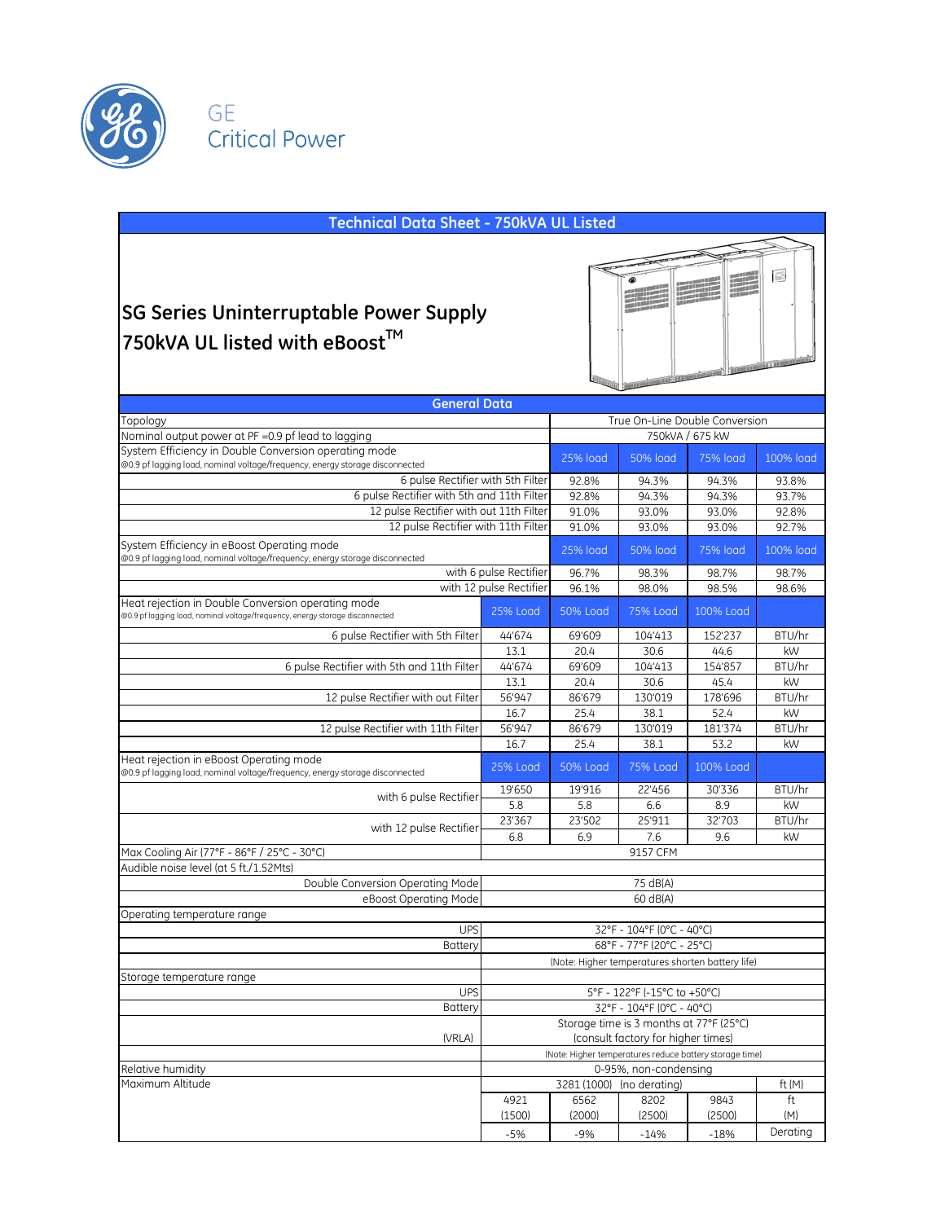

al Power

| $\Box$<br><b>SG Series Uninterruptable Power Supply</b><br>750kVA UL listed with eBoost™<br><b>CONTRACTOR OF THE CONTRACTOR</b><br><b>General Data</b><br>True On-Line Double Conversion<br>750kVA / 675 kW<br>25% load<br><b>50% load</b><br><b>75% load</b><br>100% load<br>6 pulse Rectifier with 5th Filter<br>92.8%<br>94.3%<br>93.8%<br>94.3%<br>6 pulse Rectifier with 5th and 11th Filter<br>92.8%<br>93.7%<br>94.3%<br>94.3%<br>12 pulse Rectifier with out 11th Filter<br>91.0%<br>93.0%<br>93.0%<br>92.8%<br>12 pulse Rectifier with 11th Filter<br>91.0%<br>93.0%<br>93.0%<br>92.7%<br><b>25% load</b><br><b>50% load</b><br><b>75% load</b><br>100% load<br>with 6 pulse Rectifier<br>96.7%<br>98.3%<br>98.7%<br>98.7%<br>with 12 pulse Rectifier<br>98.5%<br>96.1%<br>98.0%<br>98.6%<br>Heat rejection in Double Conversion operating mode<br><b>25% Load</b><br>50% Load<br><b>75% Load</b><br>100% Load<br>6 pulse Rectifier with 5th Filter<br>44'674<br>69'609<br>104'413<br>152'237<br>BTU/hr<br>13.1<br>20.4<br>30.6<br>44.6<br>kW<br>44'674<br>69'609<br>104'413<br>154'857<br>BTU/hr<br>6 pulse Rectifier with 5th and 11th Filter<br>13.1<br>20.4<br>30.6<br>45.4<br>kW<br>56'947<br>86'679<br>130'019<br>178'696<br>12 pulse Rectifier with out Filter<br>BTU/hr<br>16.7<br>25.4<br>52.4<br>kW<br>38.1<br>12 pulse Rectifier with 11th Filter<br>56'947<br>86'679<br>130'019<br>181'374<br>BTU/hr<br>16.7<br>25.4<br>kW<br>38.1<br>53.2<br>25% Load<br><b>50% Load</b><br><b>75% Load</b><br>100% Load<br>19'650<br>19'916<br>22'456<br>30'336<br>BTU/hr<br>with 6 pulse Rectifier<br>5.8<br>5.8<br>6.6<br>8.9<br>kW<br>23'367<br>23'502<br>25'911<br>32'703<br>BTU/hr<br>with 12 pulse Rectifier<br>7.6<br>6.8<br>6.9<br>9.6<br>kW<br>9157 CFM<br>Audible noise level (at 5 ft./1.52Mts)<br>Double Conversion Operating Mode<br>75 dB(A)<br>eBoost Operating Mode<br>60 dB(A)<br>Operating temperature range<br><b>UPS</b><br>32°F - 104°F (0°C - 40°C)<br><b>Battery</b><br>68°F - 77°F (20°C - 25°C)<br>(Note: Higher temperatures shorten battery life)<br><b>UPS</b><br>5°F - 122°F (-15°C to +50°C)<br>32°F - 104°F (0°C - 40°C)<br>Battery<br>Storage time is 3 months at 77°F (25°C)<br>(consult factory for higher times)<br>(VRLA)<br>(Note: Higher temperatures reduce battery storage time)<br>0-95%, non-condensing<br>3281 (1000) (no derating)<br>ft $(M)$<br>4921<br>6562<br>8202<br>9843<br>ft<br>(1500)<br>(2000)<br>(2500)<br>(2500)<br>(M)<br>Derating | <b>Technical Data Sheet - 750kVA UL Listed</b>                                                                                        |       |     |        |        |  |
|----------------------------------------------------------------------------------------------------------------------------------------------------------------------------------------------------------------------------------------------------------------------------------------------------------------------------------------------------------------------------------------------------------------------------------------------------------------------------------------------------------------------------------------------------------------------------------------------------------------------------------------------------------------------------------------------------------------------------------------------------------------------------------------------------------------------------------------------------------------------------------------------------------------------------------------------------------------------------------------------------------------------------------------------------------------------------------------------------------------------------------------------------------------------------------------------------------------------------------------------------------------------------------------------------------------------------------------------------------------------------------------------------------------------------------------------------------------------------------------------------------------------------------------------------------------------------------------------------------------------------------------------------------------------------------------------------------------------------------------------------------------------------------------------------------------------------------------------------------------------------------------------------------------------------------------------------------------------------------------------------------------------------------------------------------------------------------------------------------------------------------------------------------------------------------------------------------------------------------------------------------------------------------------------------------------------------------------------------------------------------------------------------------------------------------------------------------------------------------------------------|---------------------------------------------------------------------------------------------------------------------------------------|-------|-----|--------|--------|--|
|                                                                                                                                                                                                                                                                                                                                                                                                                                                                                                                                                                                                                                                                                                                                                                                                                                                                                                                                                                                                                                                                                                                                                                                                                                                                                                                                                                                                                                                                                                                                                                                                                                                                                                                                                                                                                                                                                                                                                                                                                                                                                                                                                                                                                                                                                                                                                                                                                                                                                                    |                                                                                                                                       |       |     |        |        |  |
|                                                                                                                                                                                                                                                                                                                                                                                                                                                                                                                                                                                                                                                                                                                                                                                                                                                                                                                                                                                                                                                                                                                                                                                                                                                                                                                                                                                                                                                                                                                                                                                                                                                                                                                                                                                                                                                                                                                                                                                                                                                                                                                                                                                                                                                                                                                                                                                                                                                                                                    |                                                                                                                                       |       |     |        |        |  |
|                                                                                                                                                                                                                                                                                                                                                                                                                                                                                                                                                                                                                                                                                                                                                                                                                                                                                                                                                                                                                                                                                                                                                                                                                                                                                                                                                                                                                                                                                                                                                                                                                                                                                                                                                                                                                                                                                                                                                                                                                                                                                                                                                                                                                                                                                                                                                                                                                                                                                                    |                                                                                                                                       |       |     |        |        |  |
|                                                                                                                                                                                                                                                                                                                                                                                                                                                                                                                                                                                                                                                                                                                                                                                                                                                                                                                                                                                                                                                                                                                                                                                                                                                                                                                                                                                                                                                                                                                                                                                                                                                                                                                                                                                                                                                                                                                                                                                                                                                                                                                                                                                                                                                                                                                                                                                                                                                                                                    |                                                                                                                                       |       |     |        |        |  |
|                                                                                                                                                                                                                                                                                                                                                                                                                                                                                                                                                                                                                                                                                                                                                                                                                                                                                                                                                                                                                                                                                                                                                                                                                                                                                                                                                                                                                                                                                                                                                                                                                                                                                                                                                                                                                                                                                                                                                                                                                                                                                                                                                                                                                                                                                                                                                                                                                                                                                                    | Topology                                                                                                                              |       |     |        |        |  |
|                                                                                                                                                                                                                                                                                                                                                                                                                                                                                                                                                                                                                                                                                                                                                                                                                                                                                                                                                                                                                                                                                                                                                                                                                                                                                                                                                                                                                                                                                                                                                                                                                                                                                                                                                                                                                                                                                                                                                                                                                                                                                                                                                                                                                                                                                                                                                                                                                                                                                                    | Nominal output power at PF = 0.9 pf lead to lagging                                                                                   |       |     |        |        |  |
|                                                                                                                                                                                                                                                                                                                                                                                                                                                                                                                                                                                                                                                                                                                                                                                                                                                                                                                                                                                                                                                                                                                                                                                                                                                                                                                                                                                                                                                                                                                                                                                                                                                                                                                                                                                                                                                                                                                                                                                                                                                                                                                                                                                                                                                                                                                                                                                                                                                                                                    | System Efficiency in Double Conversion operating mode<br>@0.9 pf lagging load, nominal voltage/frequency, energy storage disconnected |       |     |        |        |  |
|                                                                                                                                                                                                                                                                                                                                                                                                                                                                                                                                                                                                                                                                                                                                                                                                                                                                                                                                                                                                                                                                                                                                                                                                                                                                                                                                                                                                                                                                                                                                                                                                                                                                                                                                                                                                                                                                                                                                                                                                                                                                                                                                                                                                                                                                                                                                                                                                                                                                                                    |                                                                                                                                       |       |     |        |        |  |
|                                                                                                                                                                                                                                                                                                                                                                                                                                                                                                                                                                                                                                                                                                                                                                                                                                                                                                                                                                                                                                                                                                                                                                                                                                                                                                                                                                                                                                                                                                                                                                                                                                                                                                                                                                                                                                                                                                                                                                                                                                                                                                                                                                                                                                                                                                                                                                                                                                                                                                    |                                                                                                                                       |       |     |        |        |  |
|                                                                                                                                                                                                                                                                                                                                                                                                                                                                                                                                                                                                                                                                                                                                                                                                                                                                                                                                                                                                                                                                                                                                                                                                                                                                                                                                                                                                                                                                                                                                                                                                                                                                                                                                                                                                                                                                                                                                                                                                                                                                                                                                                                                                                                                                                                                                                                                                                                                                                                    |                                                                                                                                       |       |     |        |        |  |
|                                                                                                                                                                                                                                                                                                                                                                                                                                                                                                                                                                                                                                                                                                                                                                                                                                                                                                                                                                                                                                                                                                                                                                                                                                                                                                                                                                                                                                                                                                                                                                                                                                                                                                                                                                                                                                                                                                                                                                                                                                                                                                                                                                                                                                                                                                                                                                                                                                                                                                    |                                                                                                                                       |       |     |        |        |  |
|                                                                                                                                                                                                                                                                                                                                                                                                                                                                                                                                                                                                                                                                                                                                                                                                                                                                                                                                                                                                                                                                                                                                                                                                                                                                                                                                                                                                                                                                                                                                                                                                                                                                                                                                                                                                                                                                                                                                                                                                                                                                                                                                                                                                                                                                                                                                                                                                                                                                                                    | System Efficiency in eBoost Operating mode<br>@0.9 pf lagging load, nominal voltage/frequency, energy storage disconnected            |       |     |        |        |  |
|                                                                                                                                                                                                                                                                                                                                                                                                                                                                                                                                                                                                                                                                                                                                                                                                                                                                                                                                                                                                                                                                                                                                                                                                                                                                                                                                                                                                                                                                                                                                                                                                                                                                                                                                                                                                                                                                                                                                                                                                                                                                                                                                                                                                                                                                                                                                                                                                                                                                                                    |                                                                                                                                       |       |     |        |        |  |
|                                                                                                                                                                                                                                                                                                                                                                                                                                                                                                                                                                                                                                                                                                                                                                                                                                                                                                                                                                                                                                                                                                                                                                                                                                                                                                                                                                                                                                                                                                                                                                                                                                                                                                                                                                                                                                                                                                                                                                                                                                                                                                                                                                                                                                                                                                                                                                                                                                                                                                    |                                                                                                                                       |       |     |        |        |  |
|                                                                                                                                                                                                                                                                                                                                                                                                                                                                                                                                                                                                                                                                                                                                                                                                                                                                                                                                                                                                                                                                                                                                                                                                                                                                                                                                                                                                                                                                                                                                                                                                                                                                                                                                                                                                                                                                                                                                                                                                                                                                                                                                                                                                                                                                                                                                                                                                                                                                                                    | @0.9 pf lagging load, nominal voltage/frequency, energy storage disconnected                                                          |       |     |        |        |  |
|                                                                                                                                                                                                                                                                                                                                                                                                                                                                                                                                                                                                                                                                                                                                                                                                                                                                                                                                                                                                                                                                                                                                                                                                                                                                                                                                                                                                                                                                                                                                                                                                                                                                                                                                                                                                                                                                                                                                                                                                                                                                                                                                                                                                                                                                                                                                                                                                                                                                                                    |                                                                                                                                       |       |     |        |        |  |
|                                                                                                                                                                                                                                                                                                                                                                                                                                                                                                                                                                                                                                                                                                                                                                                                                                                                                                                                                                                                                                                                                                                                                                                                                                                                                                                                                                                                                                                                                                                                                                                                                                                                                                                                                                                                                                                                                                                                                                                                                                                                                                                                                                                                                                                                                                                                                                                                                                                                                                    |                                                                                                                                       |       |     |        |        |  |
|                                                                                                                                                                                                                                                                                                                                                                                                                                                                                                                                                                                                                                                                                                                                                                                                                                                                                                                                                                                                                                                                                                                                                                                                                                                                                                                                                                                                                                                                                                                                                                                                                                                                                                                                                                                                                                                                                                                                                                                                                                                                                                                                                                                                                                                                                                                                                                                                                                                                                                    |                                                                                                                                       |       |     |        |        |  |
|                                                                                                                                                                                                                                                                                                                                                                                                                                                                                                                                                                                                                                                                                                                                                                                                                                                                                                                                                                                                                                                                                                                                                                                                                                                                                                                                                                                                                                                                                                                                                                                                                                                                                                                                                                                                                                                                                                                                                                                                                                                                                                                                                                                                                                                                                                                                                                                                                                                                                                    |                                                                                                                                       |       |     |        |        |  |
|                                                                                                                                                                                                                                                                                                                                                                                                                                                                                                                                                                                                                                                                                                                                                                                                                                                                                                                                                                                                                                                                                                                                                                                                                                                                                                                                                                                                                                                                                                                                                                                                                                                                                                                                                                                                                                                                                                                                                                                                                                                                                                                                                                                                                                                                                                                                                                                                                                                                                                    |                                                                                                                                       |       |     |        |        |  |
|                                                                                                                                                                                                                                                                                                                                                                                                                                                                                                                                                                                                                                                                                                                                                                                                                                                                                                                                                                                                                                                                                                                                                                                                                                                                                                                                                                                                                                                                                                                                                                                                                                                                                                                                                                                                                                                                                                                                                                                                                                                                                                                                                                                                                                                                                                                                                                                                                                                                                                    |                                                                                                                                       |       |     |        |        |  |
|                                                                                                                                                                                                                                                                                                                                                                                                                                                                                                                                                                                                                                                                                                                                                                                                                                                                                                                                                                                                                                                                                                                                                                                                                                                                                                                                                                                                                                                                                                                                                                                                                                                                                                                                                                                                                                                                                                                                                                                                                                                                                                                                                                                                                                                                                                                                                                                                                                                                                                    |                                                                                                                                       |       |     |        |        |  |
|                                                                                                                                                                                                                                                                                                                                                                                                                                                                                                                                                                                                                                                                                                                                                                                                                                                                                                                                                                                                                                                                                                                                                                                                                                                                                                                                                                                                                                                                                                                                                                                                                                                                                                                                                                                                                                                                                                                                                                                                                                                                                                                                                                                                                                                                                                                                                                                                                                                                                                    | Heat rejection in eBoost Operating mode<br>@0.9 pf lagging load, nominal voltage/frequency, energy storage disconnected               |       |     |        |        |  |
|                                                                                                                                                                                                                                                                                                                                                                                                                                                                                                                                                                                                                                                                                                                                                                                                                                                                                                                                                                                                                                                                                                                                                                                                                                                                                                                                                                                                                                                                                                                                                                                                                                                                                                                                                                                                                                                                                                                                                                                                                                                                                                                                                                                                                                                                                                                                                                                                                                                                                                    |                                                                                                                                       |       |     |        |        |  |
|                                                                                                                                                                                                                                                                                                                                                                                                                                                                                                                                                                                                                                                                                                                                                                                                                                                                                                                                                                                                                                                                                                                                                                                                                                                                                                                                                                                                                                                                                                                                                                                                                                                                                                                                                                                                                                                                                                                                                                                                                                                                                                                                                                                                                                                                                                                                                                                                                                                                                                    |                                                                                                                                       |       |     |        |        |  |
|                                                                                                                                                                                                                                                                                                                                                                                                                                                                                                                                                                                                                                                                                                                                                                                                                                                                                                                                                                                                                                                                                                                                                                                                                                                                                                                                                                                                                                                                                                                                                                                                                                                                                                                                                                                                                                                                                                                                                                                                                                                                                                                                                                                                                                                                                                                                                                                                                                                                                                    |                                                                                                                                       |       |     |        |        |  |
|                                                                                                                                                                                                                                                                                                                                                                                                                                                                                                                                                                                                                                                                                                                                                                                                                                                                                                                                                                                                                                                                                                                                                                                                                                                                                                                                                                                                                                                                                                                                                                                                                                                                                                                                                                                                                                                                                                                                                                                                                                                                                                                                                                                                                                                                                                                                                                                                                                                                                                    |                                                                                                                                       |       |     |        |        |  |
|                                                                                                                                                                                                                                                                                                                                                                                                                                                                                                                                                                                                                                                                                                                                                                                                                                                                                                                                                                                                                                                                                                                                                                                                                                                                                                                                                                                                                                                                                                                                                                                                                                                                                                                                                                                                                                                                                                                                                                                                                                                                                                                                                                                                                                                                                                                                                                                                                                                                                                    | Max Cooling Air (77°F - 86°F / 25°C - 30°C)                                                                                           |       |     |        |        |  |
|                                                                                                                                                                                                                                                                                                                                                                                                                                                                                                                                                                                                                                                                                                                                                                                                                                                                                                                                                                                                                                                                                                                                                                                                                                                                                                                                                                                                                                                                                                                                                                                                                                                                                                                                                                                                                                                                                                                                                                                                                                                                                                                                                                                                                                                                                                                                                                                                                                                                                                    |                                                                                                                                       |       |     |        |        |  |
|                                                                                                                                                                                                                                                                                                                                                                                                                                                                                                                                                                                                                                                                                                                                                                                                                                                                                                                                                                                                                                                                                                                                                                                                                                                                                                                                                                                                                                                                                                                                                                                                                                                                                                                                                                                                                                                                                                                                                                                                                                                                                                                                                                                                                                                                                                                                                                                                                                                                                                    |                                                                                                                                       |       |     |        |        |  |
|                                                                                                                                                                                                                                                                                                                                                                                                                                                                                                                                                                                                                                                                                                                                                                                                                                                                                                                                                                                                                                                                                                                                                                                                                                                                                                                                                                                                                                                                                                                                                                                                                                                                                                                                                                                                                                                                                                                                                                                                                                                                                                                                                                                                                                                                                                                                                                                                                                                                                                    |                                                                                                                                       |       |     |        |        |  |
|                                                                                                                                                                                                                                                                                                                                                                                                                                                                                                                                                                                                                                                                                                                                                                                                                                                                                                                                                                                                                                                                                                                                                                                                                                                                                                                                                                                                                                                                                                                                                                                                                                                                                                                                                                                                                                                                                                                                                                                                                                                                                                                                                                                                                                                                                                                                                                                                                                                                                                    |                                                                                                                                       |       |     |        |        |  |
|                                                                                                                                                                                                                                                                                                                                                                                                                                                                                                                                                                                                                                                                                                                                                                                                                                                                                                                                                                                                                                                                                                                                                                                                                                                                                                                                                                                                                                                                                                                                                                                                                                                                                                                                                                                                                                                                                                                                                                                                                                                                                                                                                                                                                                                                                                                                                                                                                                                                                                    |                                                                                                                                       |       |     |        |        |  |
|                                                                                                                                                                                                                                                                                                                                                                                                                                                                                                                                                                                                                                                                                                                                                                                                                                                                                                                                                                                                                                                                                                                                                                                                                                                                                                                                                                                                                                                                                                                                                                                                                                                                                                                                                                                                                                                                                                                                                                                                                                                                                                                                                                                                                                                                                                                                                                                                                                                                                                    |                                                                                                                                       |       |     |        |        |  |
|                                                                                                                                                                                                                                                                                                                                                                                                                                                                                                                                                                                                                                                                                                                                                                                                                                                                                                                                                                                                                                                                                                                                                                                                                                                                                                                                                                                                                                                                                                                                                                                                                                                                                                                                                                                                                                                                                                                                                                                                                                                                                                                                                                                                                                                                                                                                                                                                                                                                                                    | Storage temperature range                                                                                                             |       |     |        |        |  |
|                                                                                                                                                                                                                                                                                                                                                                                                                                                                                                                                                                                                                                                                                                                                                                                                                                                                                                                                                                                                                                                                                                                                                                                                                                                                                                                                                                                                                                                                                                                                                                                                                                                                                                                                                                                                                                                                                                                                                                                                                                                                                                                                                                                                                                                                                                                                                                                                                                                                                                    |                                                                                                                                       |       |     |        |        |  |
|                                                                                                                                                                                                                                                                                                                                                                                                                                                                                                                                                                                                                                                                                                                                                                                                                                                                                                                                                                                                                                                                                                                                                                                                                                                                                                                                                                                                                                                                                                                                                                                                                                                                                                                                                                                                                                                                                                                                                                                                                                                                                                                                                                                                                                                                                                                                                                                                                                                                                                    |                                                                                                                                       |       |     |        |        |  |
|                                                                                                                                                                                                                                                                                                                                                                                                                                                                                                                                                                                                                                                                                                                                                                                                                                                                                                                                                                                                                                                                                                                                                                                                                                                                                                                                                                                                                                                                                                                                                                                                                                                                                                                                                                                                                                                                                                                                                                                                                                                                                                                                                                                                                                                                                                                                                                                                                                                                                                    |                                                                                                                                       |       |     |        |        |  |
|                                                                                                                                                                                                                                                                                                                                                                                                                                                                                                                                                                                                                                                                                                                                                                                                                                                                                                                                                                                                                                                                                                                                                                                                                                                                                                                                                                                                                                                                                                                                                                                                                                                                                                                                                                                                                                                                                                                                                                                                                                                                                                                                                                                                                                                                                                                                                                                                                                                                                                    |                                                                                                                                       |       |     |        |        |  |
|                                                                                                                                                                                                                                                                                                                                                                                                                                                                                                                                                                                                                                                                                                                                                                                                                                                                                                                                                                                                                                                                                                                                                                                                                                                                                                                                                                                                                                                                                                                                                                                                                                                                                                                                                                                                                                                                                                                                                                                                                                                                                                                                                                                                                                                                                                                                                                                                                                                                                                    | Relative humidity                                                                                                                     |       |     |        |        |  |
|                                                                                                                                                                                                                                                                                                                                                                                                                                                                                                                                                                                                                                                                                                                                                                                                                                                                                                                                                                                                                                                                                                                                                                                                                                                                                                                                                                                                                                                                                                                                                                                                                                                                                                                                                                                                                                                                                                                                                                                                                                                                                                                                                                                                                                                                                                                                                                                                                                                                                                    | Maximum Altitude                                                                                                                      |       |     |        |        |  |
|                                                                                                                                                                                                                                                                                                                                                                                                                                                                                                                                                                                                                                                                                                                                                                                                                                                                                                                                                                                                                                                                                                                                                                                                                                                                                                                                                                                                                                                                                                                                                                                                                                                                                                                                                                                                                                                                                                                                                                                                                                                                                                                                                                                                                                                                                                                                                                                                                                                                                                    |                                                                                                                                       |       |     |        |        |  |
|                                                                                                                                                                                                                                                                                                                                                                                                                                                                                                                                                                                                                                                                                                                                                                                                                                                                                                                                                                                                                                                                                                                                                                                                                                                                                                                                                                                                                                                                                                                                                                                                                                                                                                                                                                                                                                                                                                                                                                                                                                                                                                                                                                                                                                                                                                                                                                                                                                                                                                    |                                                                                                                                       | $-5%$ | -9% | $-14%$ | $-18%$ |  |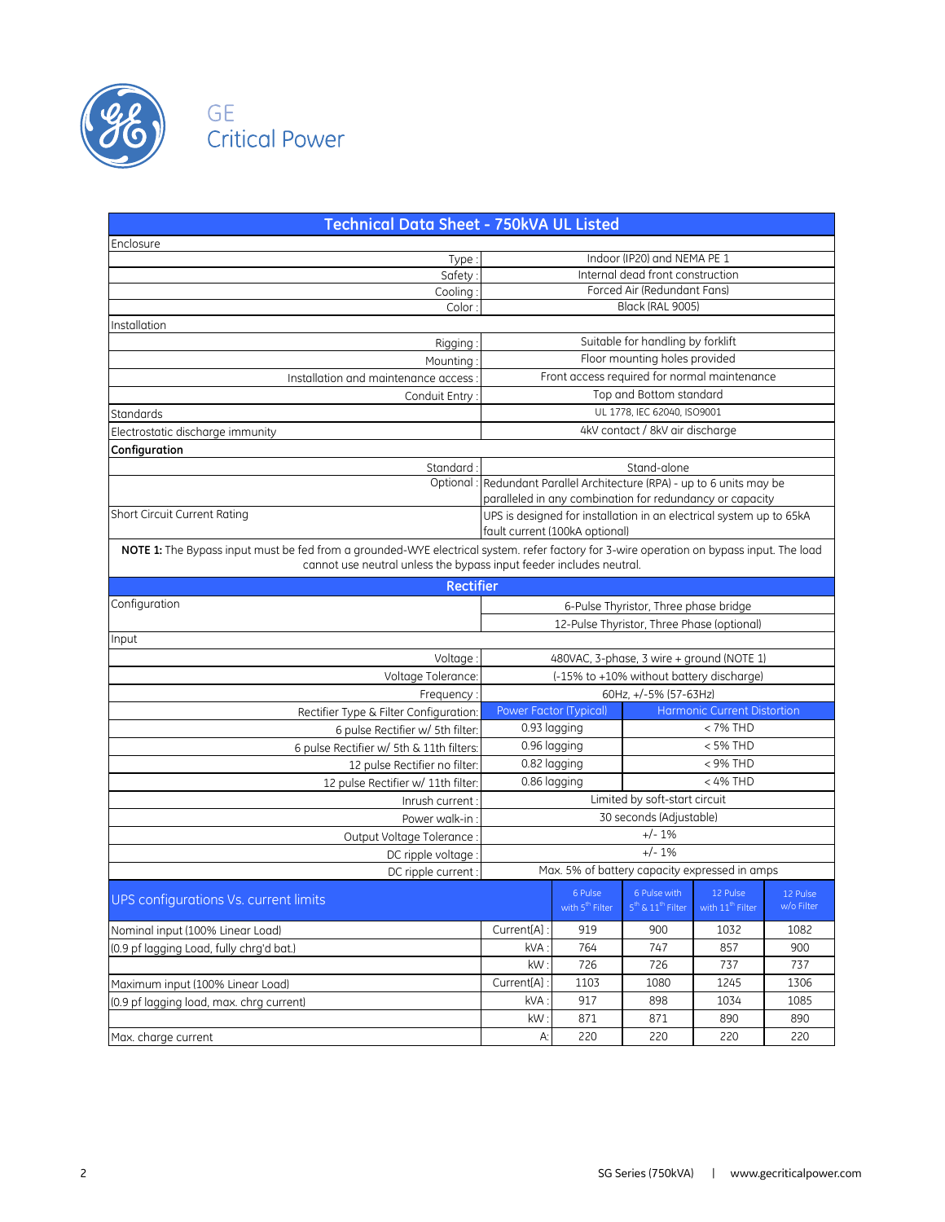



| <b>Technical Data Sheet - 750kVA UL Listed</b>                                                                                                                                                                  |                                                                         |                                |                                            |                                                                     |                        |
|-----------------------------------------------------------------------------------------------------------------------------------------------------------------------------------------------------------------|-------------------------------------------------------------------------|--------------------------------|--------------------------------------------|---------------------------------------------------------------------|------------------------|
| Enclosure                                                                                                                                                                                                       |                                                                         |                                |                                            |                                                                     |                        |
| Type                                                                                                                                                                                                            |                                                                         |                                | Indoor (IP20) and NEMA PE 1                |                                                                     |                        |
| Safety                                                                                                                                                                                                          |                                                                         |                                | Internal dead front construction           |                                                                     |                        |
| Cooling                                                                                                                                                                                                         |                                                                         |                                | Forced Air (Redundant Fans)                |                                                                     |                        |
| Color                                                                                                                                                                                                           |                                                                         |                                | Black (RAL 9005)                           |                                                                     |                        |
| Installation                                                                                                                                                                                                    |                                                                         |                                |                                            |                                                                     |                        |
| Rigging                                                                                                                                                                                                         |                                                                         |                                | Suitable for handling by forklift          |                                                                     |                        |
| Mounting                                                                                                                                                                                                        |                                                                         |                                | Floor mounting holes provided              |                                                                     |                        |
| Installation and maintenance access                                                                                                                                                                             | Front access required for normal maintenance                            |                                |                                            |                                                                     |                        |
| Conduit Entry                                                                                                                                                                                                   | Top and Bottom standard                                                 |                                |                                            |                                                                     |                        |
| Standards                                                                                                                                                                                                       | UL 1778, IEC 62040, ISO9001                                             |                                |                                            |                                                                     |                        |
| Electrostatic discharge immunity                                                                                                                                                                                |                                                                         |                                | 4kV contact / 8kV air discharge            |                                                                     |                        |
| Configuration                                                                                                                                                                                                   |                                                                         |                                |                                            |                                                                     |                        |
| Standard                                                                                                                                                                                                        | Stand-alone                                                             |                                |                                            |                                                                     |                        |
|                                                                                                                                                                                                                 | Optional : Redundant Parallel Architecture (RPA) - up to 6 units may be |                                |                                            |                                                                     |                        |
|                                                                                                                                                                                                                 |                                                                         |                                |                                            | paralleled in any combination for redundancy or capacity            |                        |
| <b>Short Circuit Current Rating</b>                                                                                                                                                                             |                                                                         |                                |                                            | UPS is designed for installation in an electrical system up to 65kA |                        |
|                                                                                                                                                                                                                 |                                                                         | fault current (100kA optional) |                                            |                                                                     |                        |
| NOTE 1: The Bypass input must be fed from a grounded-WYE electrical system. refer factory for 3-wire operation on bypass input. The load<br>cannot use neutral unless the bypass input feeder includes neutral. |                                                                         |                                |                                            |                                                                     |                        |
| <b>Rectifier</b>                                                                                                                                                                                                |                                                                         |                                |                                            |                                                                     |                        |
| Configuration                                                                                                                                                                                                   | 6-Pulse Thyristor, Three phase bridge                                   |                                |                                            |                                                                     |                        |
|                                                                                                                                                                                                                 |                                                                         |                                | 12-Pulse Thyristor, Three Phase (optional) |                                                                     |                        |
| Input                                                                                                                                                                                                           |                                                                         |                                |                                            |                                                                     |                        |
| Voltage                                                                                                                                                                                                         |                                                                         |                                |                                            | 480VAC, 3-phase, 3 wire + ground (NOTE 1)                           |                        |
| Voltage Tolerance:                                                                                                                                                                                              |                                                                         |                                |                                            | (-15% to +10% without battery discharge)                            |                        |
| Frequency:                                                                                                                                                                                                      |                                                                         |                                | 60Hz, +/-5% (57-63Hz)                      |                                                                     |                        |
| Rectifier Type & Filter Configuration                                                                                                                                                                           | Power Factor (Typical)                                                  |                                |                                            | <b>Harmonic Current Distortion</b>                                  |                        |
| 6 pulse Rectifier w/ 5th filter:                                                                                                                                                                                | 0.93 lagging                                                            |                                |                                            | < 7% THD                                                            |                        |
| 6 pulse Rectifier w/ 5th & 11th filters:                                                                                                                                                                        | 0.96 lagging                                                            |                                |                                            | < 5% THD                                                            |                        |
| 12 pulse Rectifier no filter:                                                                                                                                                                                   | 0.82 lagging                                                            |                                |                                            | $<$ 9% THD                                                          |                        |
| 12 pulse Rectifier w/ 11th filter.                                                                                                                                                                              | 0.86 lagging                                                            |                                |                                            | $<$ 4% THD                                                          |                        |
| Inrush current                                                                                                                                                                                                  |                                                                         |                                | Limited by soft-start circuit              |                                                                     |                        |
| Power walk-in                                                                                                                                                                                                   |                                                                         |                                | 30 seconds (Adjustable)                    |                                                                     |                        |
| Output Voltage Tolerance                                                                                                                                                                                        |                                                                         |                                | $+/- 1\%$                                  |                                                                     |                        |
| DC ripple voltage                                                                                                                                                                                               |                                                                         |                                | $+/-1%$                                    |                                                                     |                        |
| DC ripple current                                                                                                                                                                                               |                                                                         |                                |                                            | Max. 5% of battery capacity expressed in amps                       |                        |
|                                                                                                                                                                                                                 |                                                                         | 6 Pulse                        | 6 Pulse with                               | 12 Pulse                                                            |                        |
| UPS configurations Vs. current limits                                                                                                                                                                           |                                                                         | with 5 <sup>th</sup> Filter    | 5 <sup>th</sup> & 11 <sup>th</sup> Filter  | with 11 <sup>th</sup> Filter                                        | 12 Pulse<br>w/o Filter |
| Nominal input (100% Linear Load)                                                                                                                                                                                | Current[A] :                                                            | 919                            | 900                                        | 1032                                                                | 1082                   |
| (0.9 pf lagging Load, fully chra'd bat.)                                                                                                                                                                        | kVA:                                                                    | 764                            | 747                                        | 857                                                                 | 900                    |
|                                                                                                                                                                                                                 | kW                                                                      | 726                            | 726                                        | 737                                                                 | 737                    |
| Maximum input (100% Linear Load)                                                                                                                                                                                | Current[A]                                                              | 1103                           | 1080                                       | 1245                                                                | 1306                   |
| (0.9 pf lagging load, max. chrg current)                                                                                                                                                                        | kVA:                                                                    | 917                            | 898                                        | 1034                                                                | 1085                   |
|                                                                                                                                                                                                                 | kW                                                                      | 871                            | 871                                        | 890                                                                 | 890                    |
| Max. charge current                                                                                                                                                                                             | А:                                                                      | 220                            | 220                                        | 220                                                                 | 220                    |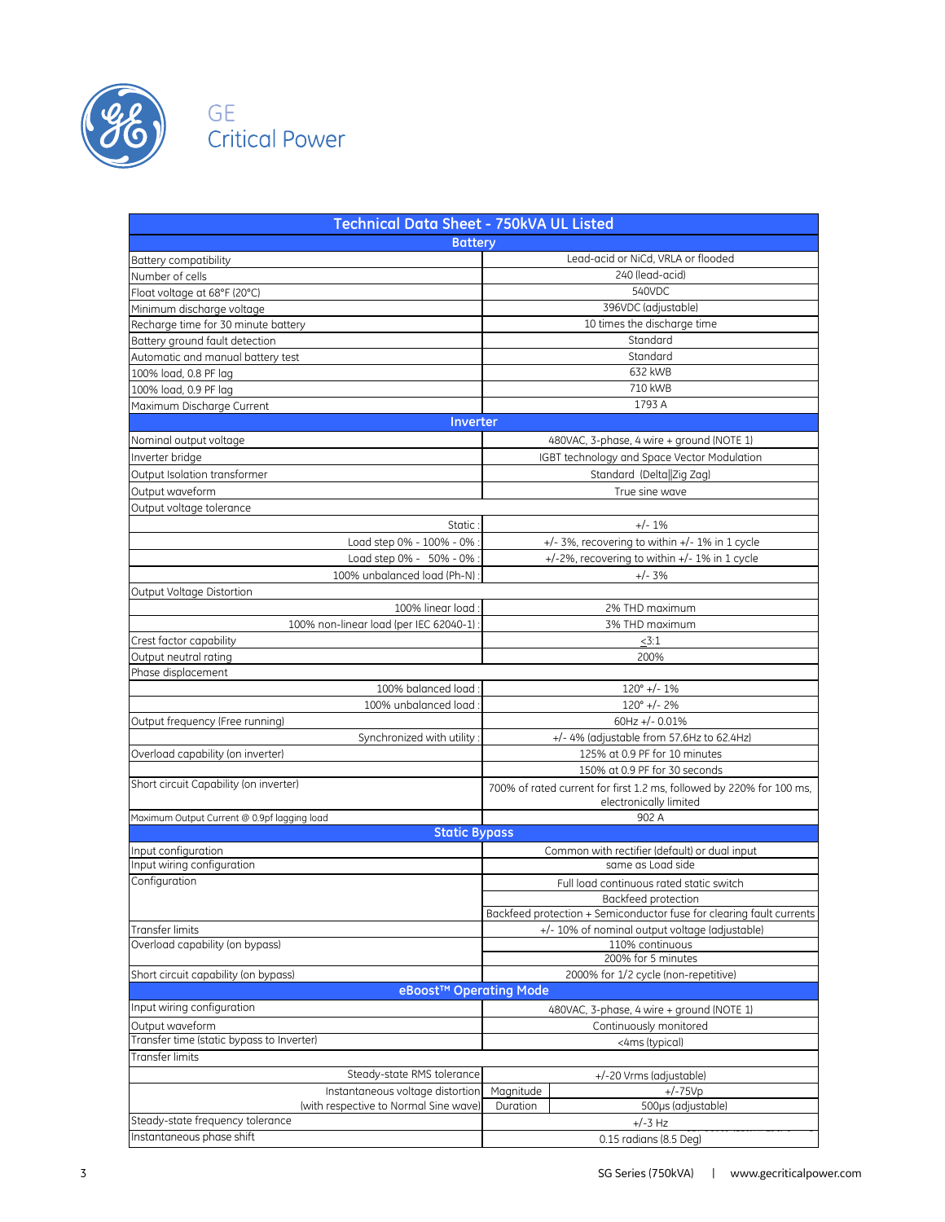

## GE<br>Crit al Power

| Technical Data Sheet - 750kVA UL Listed                                   |           |                                                                                                |
|---------------------------------------------------------------------------|-----------|------------------------------------------------------------------------------------------------|
| <b>Battery</b>                                                            |           |                                                                                                |
| Battery compatibility                                                     |           | Lead-acid or NiCd, VRLA or flooded                                                             |
| Number of cells                                                           |           | 240 (lead-acid)                                                                                |
| Float voltage at 68°F (20°C)                                              |           | 540VDC                                                                                         |
| Minimum discharge voltage                                                 |           | 396VDC (adjustable)                                                                            |
| Recharge time for 30 minute battery                                       |           | 10 times the discharge time                                                                    |
| Battery ground fault detection                                            |           | Standard                                                                                       |
| Automatic and manual battery test                                         |           | Standard                                                                                       |
| 100% load, 0.8 PF lag                                                     |           | 632 kWB                                                                                        |
| 100% load, 0.9 PF lag                                                     |           | 710 kWB                                                                                        |
| Maximum Discharge Current                                                 |           | 1793 A                                                                                         |
| Inverter                                                                  |           |                                                                                                |
| Nominal output voltage                                                    |           | 480VAC, 3-phase, 4 wire + ground (NOTE 1)                                                      |
| Inverter bridge                                                           |           | IGBT technology and Space Vector Modulation                                                    |
| Output Isolation transformer                                              |           | Standard (Delta  Zig Zag)                                                                      |
| Output waveform                                                           |           | True sine wave                                                                                 |
| Output voltage tolerance                                                  |           |                                                                                                |
| Static:                                                                   |           | $+/- 1\%$                                                                                      |
| Load step 0% - 100% - 0% :                                                |           | +/-3%, recovering to within +/- 1% in 1 cycle                                                  |
| Load step 0% - 50% - 0% :                                                 |           | +/-2%, recovering to within +/- 1% in 1 cycle                                                  |
| 100% unbalanced load (Ph-N):                                              |           | $+/- 3%$                                                                                       |
| Output Voltage Distortion                                                 |           |                                                                                                |
| 100% linear load:                                                         |           | 2% THD maximum                                                                                 |
| 100% non-linear load (per IEC 62040-1):                                   |           | 3% THD maximum                                                                                 |
| Crest factor capability                                                   |           | <3:1                                                                                           |
| Output neutral rating                                                     |           | 200%                                                                                           |
| Phase displacement                                                        |           |                                                                                                |
| 100% balanced load:                                                       |           | $120^{\circ}$ +/- 1%                                                                           |
| 100% unbalanced load:                                                     |           | $120^{\circ}$ +/- 2%                                                                           |
| Output frequency (Free running)                                           |           | 60Hz +/- $0.01%$                                                                               |
| Synchronized with utility:                                                |           | +/- 4% (adjustable from 57.6Hz to 62.4Hz)                                                      |
| Overload capability (on inverter)                                         |           | 125% at 0.9 PF for 10 minutes                                                                  |
|                                                                           |           | 150% at 0.9 PF for 30 seconds                                                                  |
| Short circuit Capability (on inverter)                                    |           | 700% of rated current for first 1.2 ms, followed by 220% for 100 ms,<br>electronically limited |
| Maximum Output Current @ 0.9pf lagging load                               |           | 902 A                                                                                          |
| <b>Static Bypass</b>                                                      |           |                                                                                                |
| Input configuration                                                       |           | Common with rectifier (default) or dual input                                                  |
| Input wiring configuration                                                |           | same as Load side                                                                              |
| Configuration                                                             |           | Full load continuous rated static switch                                                       |
|                                                                           |           | Backfeed protection                                                                            |
|                                                                           |           | Backfeed protection + Semiconductor fuse for clearing fault currents                           |
| Transfer limits                                                           |           | +/- 10% of nominal output voltage (adjustable)                                                 |
| Overload capability (on bypass)                                           |           | 110% continuous                                                                                |
|                                                                           |           | 200% for 5 minutes                                                                             |
| Short circuit capability (on bypass)                                      |           | 2000% for 1/2 cycle (non-repetitive)                                                           |
| eBoost <sup>™</sup> Operating Mode                                        |           |                                                                                                |
| Input wiring configuration                                                |           | 480VAC, 3-phase, 4 wire + ground (NOTE 1)                                                      |
| Output waveform<br>Transfer time (static bypass to Inverter)              |           | Continuously monitored                                                                         |
|                                                                           |           | <4ms (typical)                                                                                 |
| Transfer limits                                                           |           |                                                                                                |
| Steady-state RMS tolerance                                                |           | +/-20 Vrms (adjustable)                                                                        |
| Instantaneous voltage distortion                                          | Magnitude | $+/-75Vp$                                                                                      |
| (with respective to Normal Sine wave)<br>Steady-state frequency tolerance | Duration  | 500µs (adjustable)                                                                             |
| Instantaneous phase shift                                                 |           | $+/-3$ Hz                                                                                      |
|                                                                           |           | 0.15 radians (8.5 Deg)                                                                         |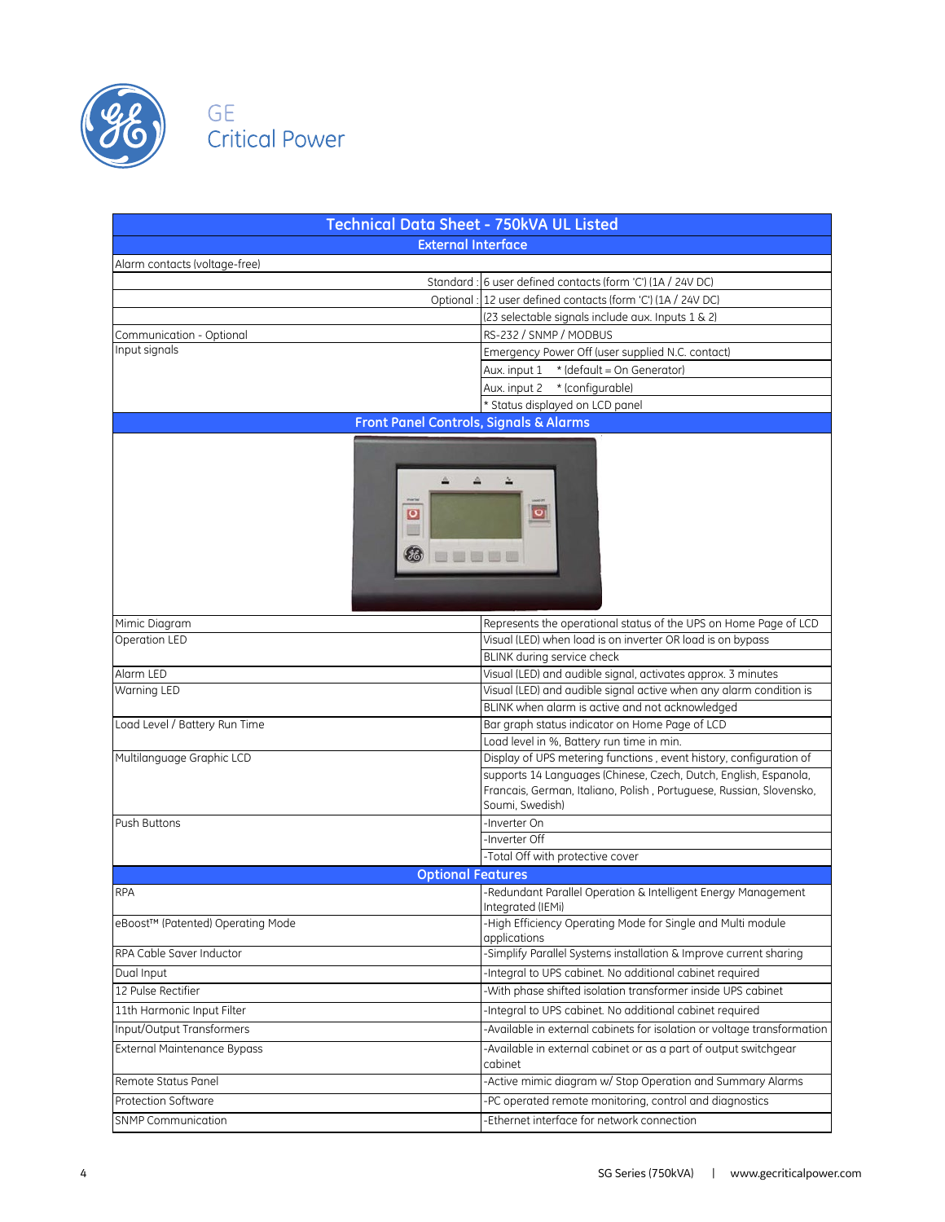

## cal Power

| <b>Technical Data Sheet - 750kVA UL Listed</b>    |                                                                                                                                                            |
|---------------------------------------------------|------------------------------------------------------------------------------------------------------------------------------------------------------------|
| <b>External Interface</b>                         |                                                                                                                                                            |
| Alarm contacts (voltage-free)                     |                                                                                                                                                            |
|                                                   | Standard: 6 user defined contacts (form 'C') (1A / 24V DC)                                                                                                 |
|                                                   | Optional: 12 user defined contacts (form 'C') (1A / 24V DC)                                                                                                |
|                                                   | (23 selectable signals include aux. Inputs 1 & 2)                                                                                                          |
| Communication - Optional                          | RS-232 / SNMP / MODBUS                                                                                                                                     |
| Input signals                                     | Emergency Power Off (user supplied N.C. contact)                                                                                                           |
|                                                   | Aux. input $1$ * (default = On Generator)                                                                                                                  |
|                                                   | Aux. input 2 * (configurable)                                                                                                                              |
|                                                   | * Status displayed on LCD panel                                                                                                                            |
| <b>Front Panel Controls, Signals &amp; Alarms</b> |                                                                                                                                                            |
| $\overline{\mathsf{O}}$<br><b>BBBBB</b>           | $\boxed{\circ}$                                                                                                                                            |
| Mimic Diagram                                     | Represents the operational status of the UPS on Home Page of LCD                                                                                           |
| Operation LED                                     | Visual (LED) when load is on inverter OR load is on bypass                                                                                                 |
|                                                   | BLINK during service check                                                                                                                                 |
| Alarm LED                                         | Visual (LED) and audible signal, activates approx. 3 minutes                                                                                               |
| Warning LED                                       | Visual (LED) and audible signal active when any alarm condition is                                                                                         |
|                                                   | BLINK when alarm is active and not acknowledged                                                                                                            |
| Load Level / Battery Run Time                     | Bar graph status indicator on Home Page of LCD                                                                                                             |
|                                                   | Load level in %, Battery run time in min.                                                                                                                  |
| Multilanguage Graphic LCD                         | Display of UPS metering functions, event history, configuration of                                                                                         |
|                                                   | supports 14 Languages (Chinese, Czech, Dutch, English, Espanola,<br>Francais, German, Italiano, Polish, Portuguese, Russian, Slovensko,<br>Soumi, Swedish) |
| Push Buttons                                      | -Inverter On                                                                                                                                               |
|                                                   | Inverter Off                                                                                                                                               |
|                                                   | -Total Off with protective cover                                                                                                                           |
| <b>Optional Features</b>                          |                                                                                                                                                            |
| <b>RPA</b>                                        | -Redundant Parallel Operation & Intelligent Energy Management<br>Integrated (IEMi)                                                                         |
| eBoost™ (Patented) Operating Mode                 | -High Efficiency Operating Mode for Single and Multi module<br>applications                                                                                |
| RPA Cable Saver Inductor                          | -Simplify Parallel Systems installation & Improve current sharing                                                                                          |
| Dual Input                                        | -Integral to UPS cabinet. No additional cabinet required                                                                                                   |
| 12 Pulse Rectifier                                | -With phase shifted isolation transformer inside UPS cabinet                                                                                               |
| 11th Harmonic Input Filter                        | -Integral to UPS cabinet. No additional cabinet required                                                                                                   |
| Input/Output Transformers                         | -Available in external cabinets for isolation or voltage transformation                                                                                    |
| <b>External Maintenance Bypass</b>                | -Available in external cabinet or as a part of output switchgear                                                                                           |
|                                                   | cabinet                                                                                                                                                    |
| Remote Status Panel                               | -Active mimic diagram w/ Stop Operation and Summary Alarms                                                                                                 |
| Protection Software                               | -PC operated remote monitoring, control and diagnostics                                                                                                    |
| <b>SNMP Communication</b>                         | Ethernet interface for network connection                                                                                                                  |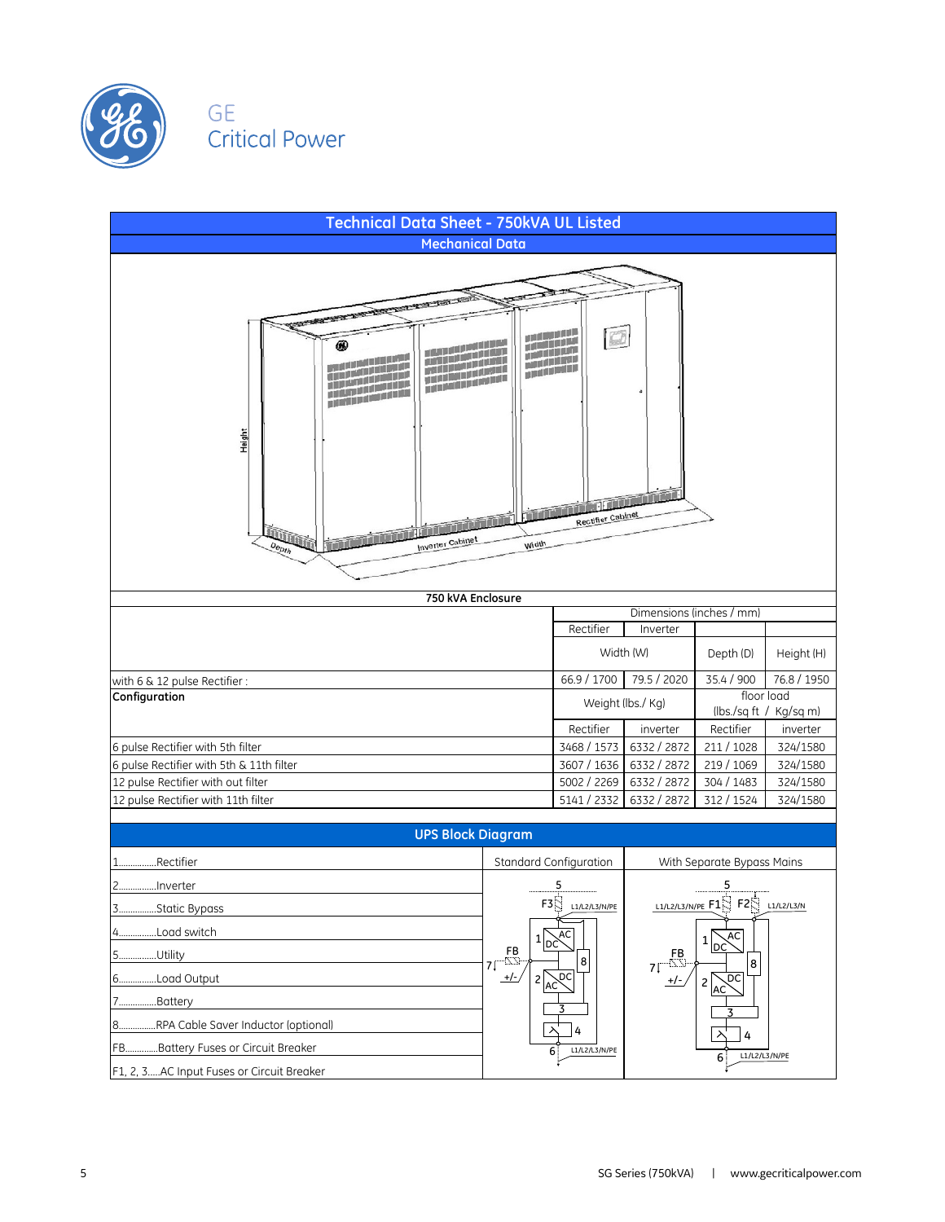

## **Critical Power**

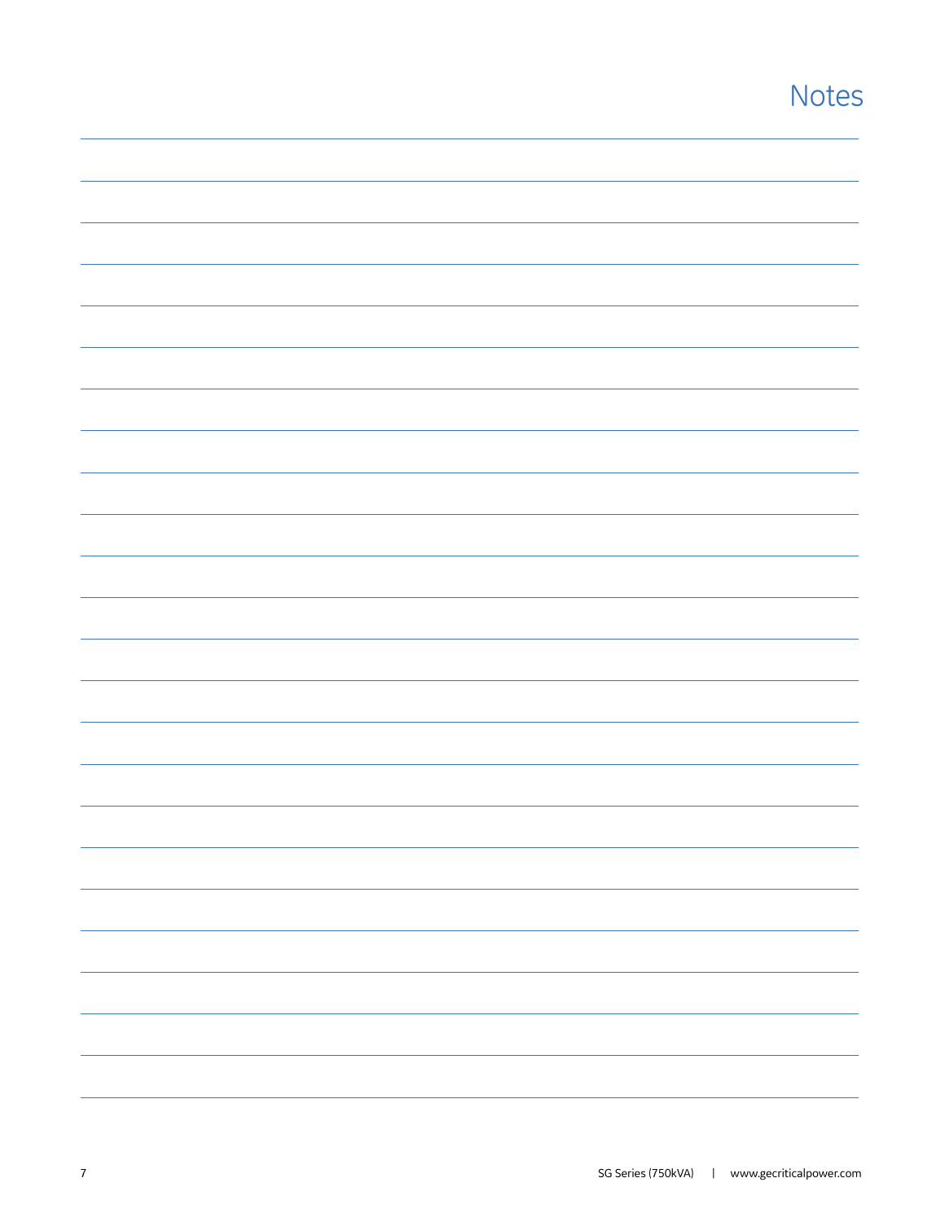## **Notes**

|                          |  | -                        |
|--------------------------|--|--------------------------|
|                          |  | $\overline{\phantom{a}}$ |
|                          |  |                          |
| $\overline{\phantom{0}}$ |  |                          |